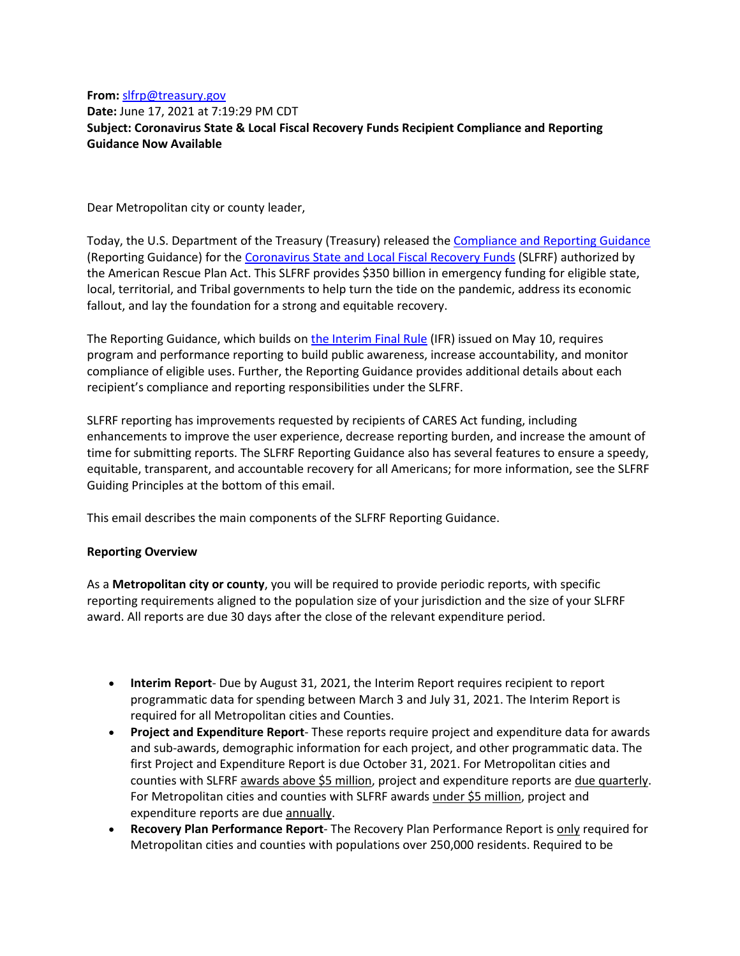## **From:** [slfrp@treasury.gov](mailto:slfrp@treasury.gov) **Date:** June 17, 2021 at 7:19:29 PM CDT **Subject: Coronavirus State & Local Fiscal Recovery Funds Recipient Compliance and Reporting Guidance Now Available**

Dear Metropolitan city or county leader,

Today, the U.S. Department of the Treasury (Treasury) released th[e Compliance and Reporting Guidance](https://home.treasury.gov/system/files/136/SLFRF-Compliance-and-Reporting-Guidance.pdf) (Reporting Guidance) for the [Coronavirus State and Local Fiscal Recovery Funds](http://www.treasury.gov/SLFRP) (SLFRF) authorized by the American Rescue Plan Act. This SLFRF provides \$350 billion in emergency funding for eligible state, local, territorial, and Tribal governments to help turn the tide on the pandemic, address its economic fallout, and lay the foundation for a strong and equitable recovery.

The Reporting Guidance, which builds o[n the Interim Final Rule](https://www.govinfo.gov/content/pkg/FR-2021-05-17/pdf/2021-10283.pdf) (IFR) issued on May 10, requires program and performance reporting to build public awareness, increase accountability, and monitor compliance of eligible uses. Further, the Reporting Guidance provides additional details about each recipient's compliance and reporting responsibilities under the SLFRF.

SLFRF reporting has improvements requested by recipients of CARES Act funding, including enhancements to improve the user experience, decrease reporting burden, and increase the amount of time for submitting reports. The SLFRF Reporting Guidance also has several features to ensure a speedy, equitable, transparent, and accountable recovery for all Americans; for more information, see the SLFRF Guiding Principles at the bottom of this email.

This email describes the main components of the SLFRF Reporting Guidance.

# **Reporting Overview**

As a **Metropolitan city or county**, you will be required to provide periodic reports, with specific reporting requirements aligned to the population size of your jurisdiction and the size of your SLFRF award. All reports are due 30 days after the close of the relevant expenditure period.

- **Interim Report** Due by August 31, 2021, the Interim Report requires recipient to report programmatic data for spending between March 3 and July 31, 2021. The Interim Report is required for all Metropolitan cities and Counties.
- **Project and Expenditure Report** These reports require project and expenditure data for awards and sub-awards, demographic information for each project, and other programmatic data. The first Project and Expenditure Report is due October 31, 2021. For Metropolitan cities and counties with SLFRF awards above \$5 million, project and expenditure reports are due quarterly. For Metropolitan cities and counties with SLFRF awards under \$5 million, project and expenditure reports are due annually.
- **Recovery Plan Performance Report** The Recovery Plan Performance Report is only required for Metropolitan cities and counties with populations over 250,000 residents. Required to be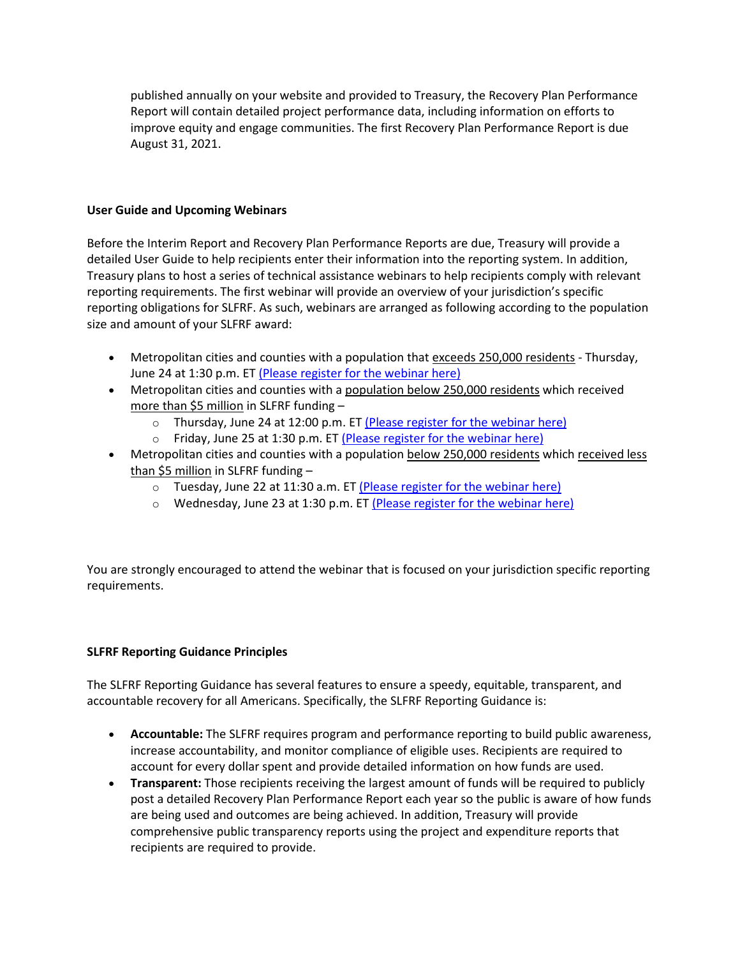published annually on your website and provided to Treasury, the Recovery Plan Performance Report will contain detailed project performance data, including information on efforts to improve equity and engage communities. The first Recovery Plan Performance Report is due August 31, 2021.

#### **User Guide and Upcoming Webinars**

Before the Interim Report and Recovery Plan Performance Reports are due, Treasury will provide a detailed User Guide to help recipients enter their information into the reporting system. In addition, Treasury plans to host a series of technical assistance webinars to help recipients comply with relevant reporting requirements. The first webinar will provide an overview of your jurisdiction's specific reporting obligations for SLFRF. As such, webinars are arranged as following according to the population size and amount of your SLFRF award:

- Metropolitan cities and counties with a population that exceeds 250,000 residents Thursday, June 24 at 1:30 p.m. ET [\(Please register for the webinar here\)](https://ustreasury.zoomgov.com/webinar/register/WN_lXhMfmxNSjSSxuk4vWMopA)
- Metropolitan cities and counties with a population below 250,000 residents which received more than \$5 million in SLFRF funding –
	- o Thursday, June 24 at 12:00 p.m. ET [\(Please register for the webinar here\)](https://ustreasury.zoomgov.com/webinar/register/WN_IAzO-CRRTPmTfXiAarAWQw)
	- o Friday, June 25 at 1:30 p.m. ET [\(Please register for the webinar here\)](https://ustreasury.zoomgov.com/webinar/register/WN_7RmFi3nETsiIV_6UkvP7uw)
- Metropolitan cities and counties with a population below 250,000 residents which received less than \$5 million in SLFRF funding
	- o Tuesday, June 22 at 11:30 a.m. ET [\(Please register for the webinar here\)](https://ustreasury.zoomgov.com/webinar/register/WN_nLyVsWIbSA6Ywo5ifl6KvA)
	- $\circ$  Wednesday, June 23 at 1:30 p.m. ET [\(Please register for the webinar here\)](https://ustreasury.zoomgov.com/webinar/register/WN_HMJn7wI-TcKnjbuVYod6PQ)

You are strongly encouraged to attend the webinar that is focused on your jurisdiction specific reporting requirements.

#### **SLFRF Reporting Guidance Principles**

The SLFRF Reporting Guidance has several features to ensure a speedy, equitable, transparent, and accountable recovery for all Americans. Specifically, the SLFRF Reporting Guidance is:

- **Accountable:** The SLFRF requires program and performance reporting to build public awareness, increase accountability, and monitor compliance of eligible uses. Recipients are required to account for every dollar spent and provide detailed information on how funds are used.
- **Transparent:** Those recipients receiving the largest amount of funds will be required to publicly post a detailed Recovery Plan Performance Report each year so the public is aware of how funds are being used and outcomes are being achieved. In addition, Treasury will provide comprehensive public transparency reports using the project and expenditure reports that recipients are required to provide.